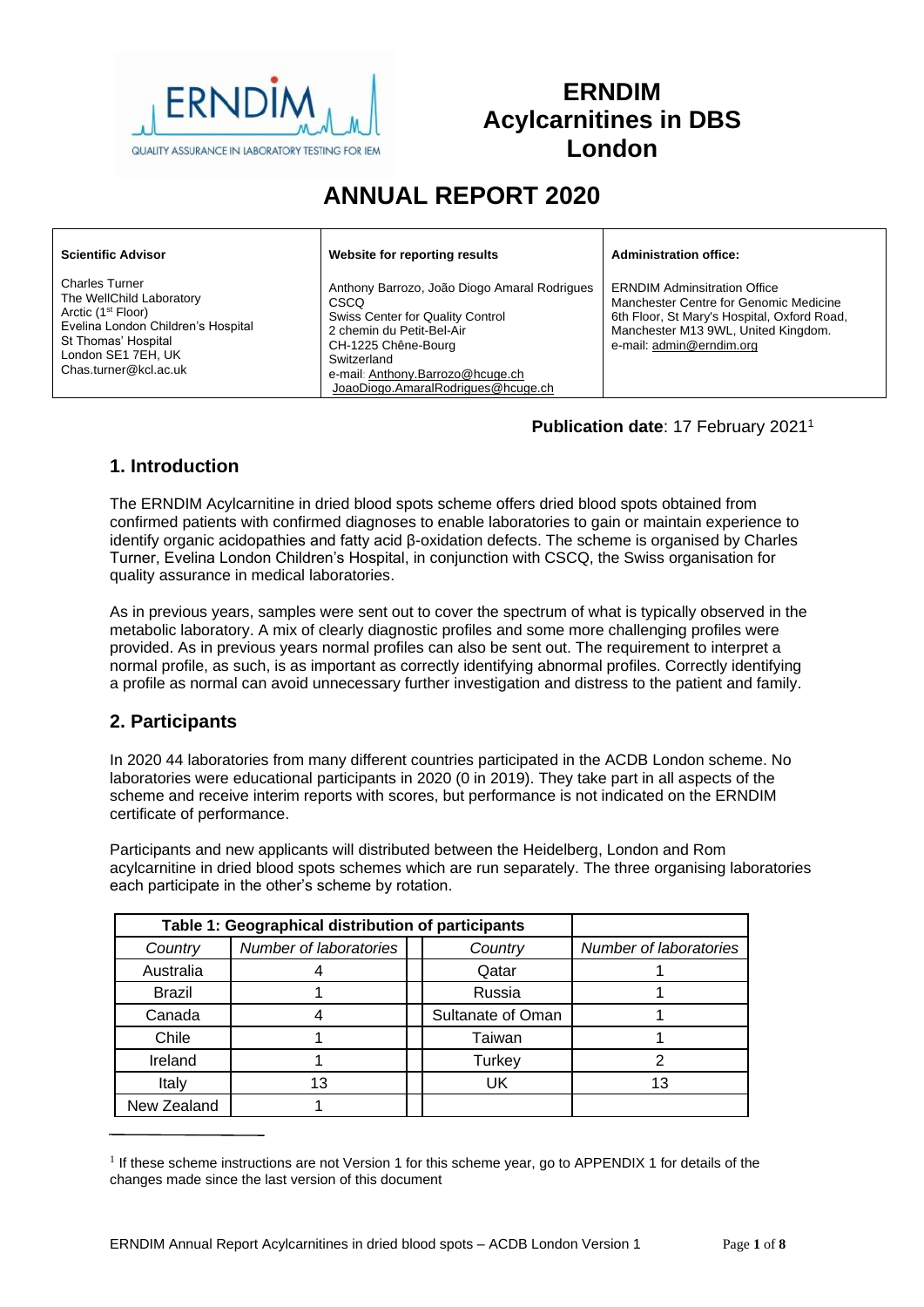

# **ERNDIM Acylcarnitines in DBS London**

# **ANNUAL REPORT 2020**

| <b>Scientific Advisor</b>                                                                                                                                                                       | Website for reporting results                                                                                                                                                                                                                | <b>Administration office:</b>                                                                                                                                                                   |
|-------------------------------------------------------------------------------------------------------------------------------------------------------------------------------------------------|----------------------------------------------------------------------------------------------------------------------------------------------------------------------------------------------------------------------------------------------|-------------------------------------------------------------------------------------------------------------------------------------------------------------------------------------------------|
| <b>Charles Turner</b><br>The WellChild Laboratory<br>Arctic (1 <sup>st</sup> Floor)<br>Evelina London Children's Hospital<br>St Thomas' Hospital<br>London SE1 7EH, UK<br>Chas.turner@kcl.ac.uk | Anthony Barrozo, João Diogo Amaral Rodrigues<br><b>CSCO</b><br>Swiss Center for Quality Control<br>2 chemin du Petit-Bel-Air<br>CH-1225 Chêne-Bourg<br>Switzerland<br>e-mail: Anthony.Barrozo@hcuge.ch<br>JoaoDiogo.AmaralRodrigues@hcuge.ch | <b>ERNDIM Adminsitration Office</b><br>Manchester Centre for Genomic Medicine<br>6th Floor, St Mary's Hospital, Oxford Road.<br>Manchester M13 9WL, United Kingdom.<br>e-mail: admin@erndim.org |

#### **Publication date**: 17 February 2021<sup>1</sup>

## **1. Introduction**

The ERNDIM Acylcarnitine in dried blood spots scheme offers dried blood spots obtained from confirmed patients with confirmed diagnoses to enable laboratories to gain or maintain experience to identify organic acidopathies and fatty acid β-oxidation defects. The scheme is organised by Charles Turner, Evelina London Children's Hospital, in conjunction with CSCQ, the Swiss organisation for quality assurance in medical laboratories.

As in previous years, samples were sent out to cover the spectrum of what is typically observed in the metabolic laboratory. A mix of clearly diagnostic profiles and some more challenging profiles were provided. As in previous years normal profiles can also be sent out. The requirement to interpret a normal profile, as such, is as important as correctly identifying abnormal profiles. Correctly identifying a profile as normal can avoid unnecessary further investigation and distress to the patient and family.

### **2. Participants**

In 2020 44 laboratories from many different countries participated in the ACDB London scheme. No laboratories were educational participants in 2020 (0 in 2019). They take part in all aspects of the scheme and receive interim reports with scores, but performance is not indicated on the ERNDIM certificate of performance.

Participants and new applicants will distributed between the Heidelberg, London and Rom acylcarnitine in dried blood spots schemes which are run separately. The three organising laboratories each participate in the other's scheme by rotation.

| Table 1: Geographical distribution of participants |                                   |  |                   |    |  |
|----------------------------------------------------|-----------------------------------|--|-------------------|----|--|
| Country                                            | Number of laboratories<br>Country |  |                   |    |  |
| Australia                                          |                                   |  | Qatar             |    |  |
| Brazil                                             |                                   |  | Russia            |    |  |
| Canada                                             |                                   |  | Sultanate of Oman |    |  |
| Chile                                              |                                   |  | Taiwan            |    |  |
| Ireland                                            |                                   |  | Turkey            |    |  |
| Italy                                              | 13                                |  | UK                | 13 |  |
| New Zealand                                        |                                   |  |                   |    |  |

<sup>&</sup>lt;sup>1</sup> If these scheme instructions are not Version 1 for this scheme year, go to [APPENDIX 1](#page-7-0) for details of the changes made since the last version of this document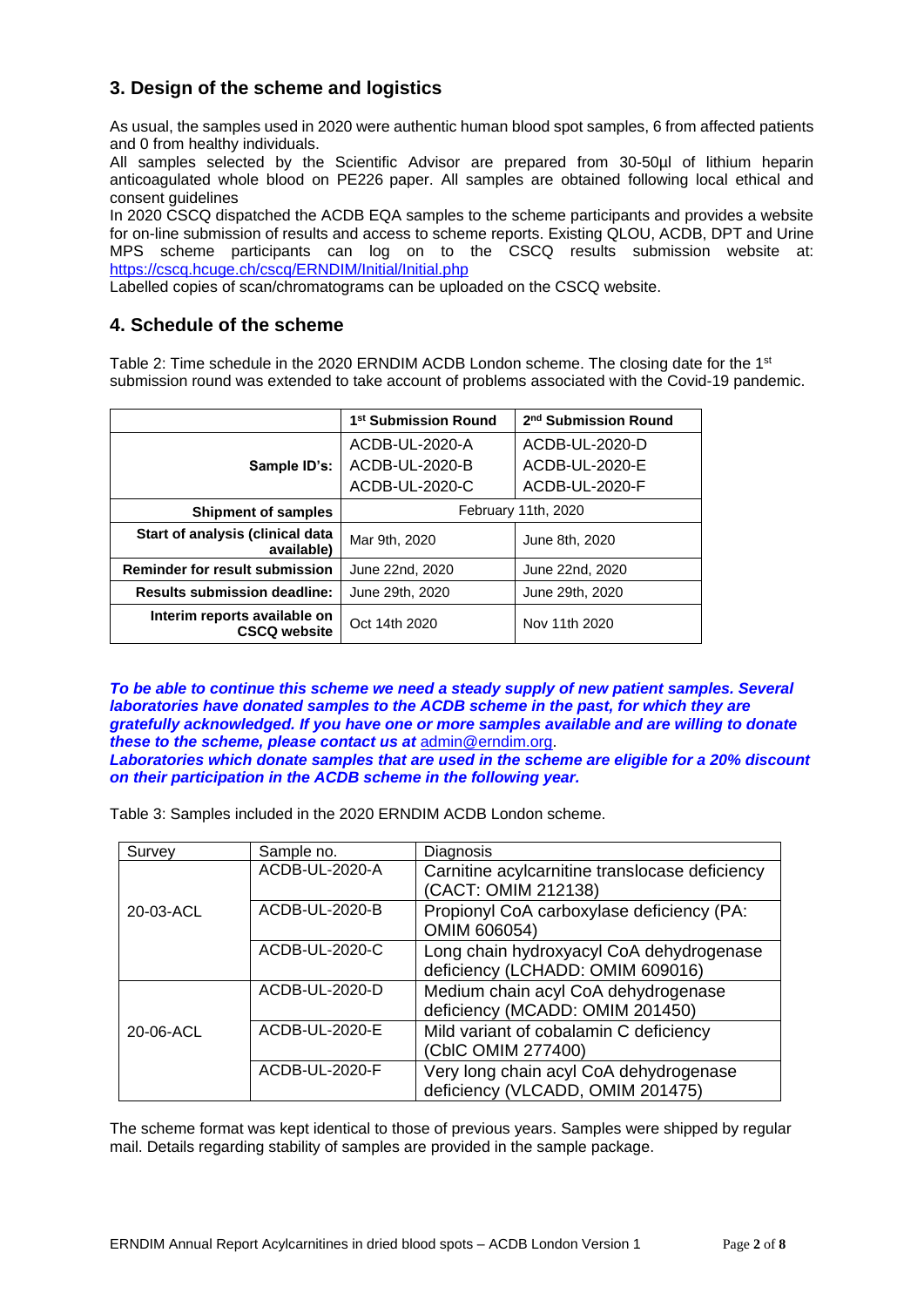## **3. Design of the scheme and logistics**

As usual, the samples used in 2020 were authentic human blood spot samples, 6 from affected patients and 0 from healthy individuals.

All samples selected by the Scientific Advisor are prepared from 30-50µl of lithium heparin anticoagulated whole blood on PE226 paper. All samples are obtained following local ethical and consent quidelines

In 2020 CSCQ dispatched the ACDB EQA samples to the scheme participants and provides a website for on-line submission of results and access to scheme reports. Existing QLOU, ACDB, DPT and Urine MPS scheme participants can log on to the CSCQ results submission website at: <https://cscq.hcuge.ch/cscq/ERNDIM/Initial/Initial.php>

Labelled copies of scan/chromatograms can be uploaded on the CSCQ website.

#### **4. Schedule of the scheme**

Table 2: Time schedule in the 2020 ERNDIM ACDB London scheme. The closing date for the 1<sup>st</sup> submission round was extended to take account of problems associated with the Covid-19 pandemic.

|                                                     | 1 <sup>st</sup> Submission Round | 2 <sup>nd</sup> Submission Round |  |  |
|-----------------------------------------------------|----------------------------------|----------------------------------|--|--|
|                                                     | ACDB-UL-2020-A                   | ACDB-UL-2020-D                   |  |  |
| Sample ID's:                                        | ACDB-UL-2020-B                   | ACDB-UL-2020-E                   |  |  |
|                                                     | ACDB-UL-2020-C                   | ACDB-UL-2020-F                   |  |  |
| <b>Shipment of samples</b>                          | February 11th, 2020              |                                  |  |  |
| Start of analysis (clinical data<br>available)      | Mar 9th, 2020                    | June 8th, 2020                   |  |  |
| <b>Reminder for result submission</b>               | June 22nd, 2020                  | June 22nd, 2020                  |  |  |
| <b>Results submission deadline:</b>                 | June 29th, 2020                  | June 29th, 2020                  |  |  |
| Interim reports available on<br><b>CSCQ website</b> | Oct 14th 2020                    | Nov 11th 2020                    |  |  |

*To be able to continue this scheme we need a steady supply of new patient samples. Several laboratories have donated samples to the ACDB scheme in the past, for which they are gratefully acknowledged. If you have one or more samples available and are willing to donate these to the scheme, please contact us at* [admin@erndim.org.](mailto:admin@erndim.org) *Laboratories which donate samples that are used in the scheme are eligible for a 20% discount on their participation in the ACDB scheme in the following year.*

Table 3: Samples included in the 2020 ERNDIM ACDB London scheme.

| Survey    | Sample no.     | Diagnosis                                                                    |  |  |
|-----------|----------------|------------------------------------------------------------------------------|--|--|
|           | ACDB-UL-2020-A | Carnitine acylcarnitine translocase deficiency<br>(CACT: OMIM 212138)        |  |  |
| 20-03-ACL | ACDB-UL-2020-B | Propionyl CoA carboxylase deficiency (PA:<br>OMIM 606054)                    |  |  |
|           | ACDB-UL-2020-C | Long chain hydroxyacyl CoA dehydrogenase<br>deficiency (LCHADD: OMIM 609016) |  |  |
|           | ACDB-UL-2020-D | Medium chain acyl CoA dehydrogenase<br>deficiency (MCADD: OMIM 201450)       |  |  |
| 20-06-ACL | ACDB-UL-2020-E | Mild variant of cobalamin C deficiency<br>(CbIC OMIM 277400)                 |  |  |
|           | ACDB-UL-2020-F | Very long chain acyl CoA dehydrogenase<br>deficiency (VLCADD, OMIM 201475)   |  |  |

The scheme format was kept identical to those of previous years. Samples were shipped by regular mail. Details regarding stability of samples are provided in the sample package.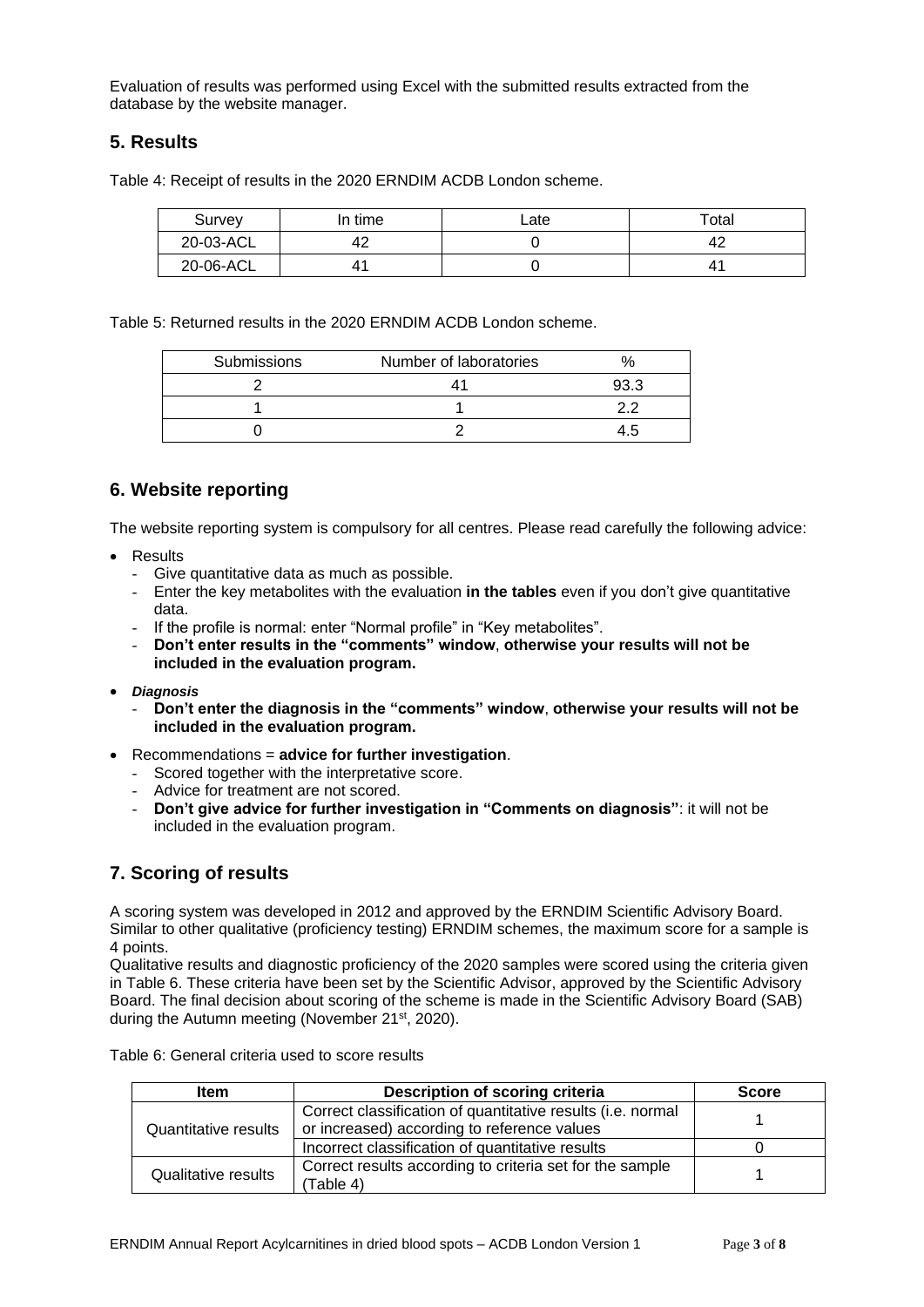Evaluation of results was performed using Excel with the submitted results extracted from the database by the website manager.

#### **5. Results**

Table 4: Receipt of results in the 2020 ERNDIM ACDB London scheme.

| Survey    | In time | ∟ate | Total |
|-----------|---------|------|-------|
| 20-03-ACL |         |      | 42    |
| 20-06-ACL |         |      | 41    |

Table 5: Returned results in the 2020 ERNDIM ACDB London scheme.

| <b>Submissions</b> | Number of laboratories |  |
|--------------------|------------------------|--|
|                    |                        |  |
|                    |                        |  |
|                    |                        |  |

#### **6. Website reporting**

The website reporting system is compulsory for all centres. Please read carefully the following advice:

- Results
	- Give quantitative data as much as possible.
	- Enter the key metabolites with the evaluation **in the tables** even if you don't give quantitative data.
	- If the profile is normal: enter "Normal profile" in "Key metabolites".
	- **Don't enter results in the "comments" window**, **otherwise your results will not be included in the evaluation program.**
- *Diagnosis*
	- **Don't enter the diagnosis in the "comments" window**, **otherwise your results will not be included in the evaluation program.**
- Recommendations = **advice for further investigation**.
	- Scored together with the interpretative score.
	- Advice for treatment are not scored.
	- **Don't give advice for further investigation in "Comments on diagnosis"**: it will not be included in the evaluation program.

### **7. Scoring of results**

A scoring system was developed in 2012 and approved by the ERNDIM Scientific Advisory Board. Similar to other qualitative (proficiency testing) ERNDIM schemes, the maximum score for a sample is 4 points.

Qualitative results and diagnostic proficiency of the 2020 samples were scored using the criteria given in Table 6. These criteria have been set by the Scientific Advisor, approved by the Scientific Advisory Board. The final decision about scoring of the scheme is made in the Scientific Advisory Board (SAB) during the Autumn meeting (November 21<sup>st</sup>, 2020).

| ltem                        | Description of scoring criteria                                                                            | <b>Score</b> |
|-----------------------------|------------------------------------------------------------------------------------------------------------|--------------|
| <b>Quantitative results</b> | Correct classification of quantitative results (i.e. normal<br>or increased) according to reference values |              |
|                             | Incorrect classification of quantitative results                                                           |              |
| <b>Qualitative results</b>  | Correct results according to criteria set for the sample<br>(Table 4)                                      |              |

Table 6: General criteria used to score results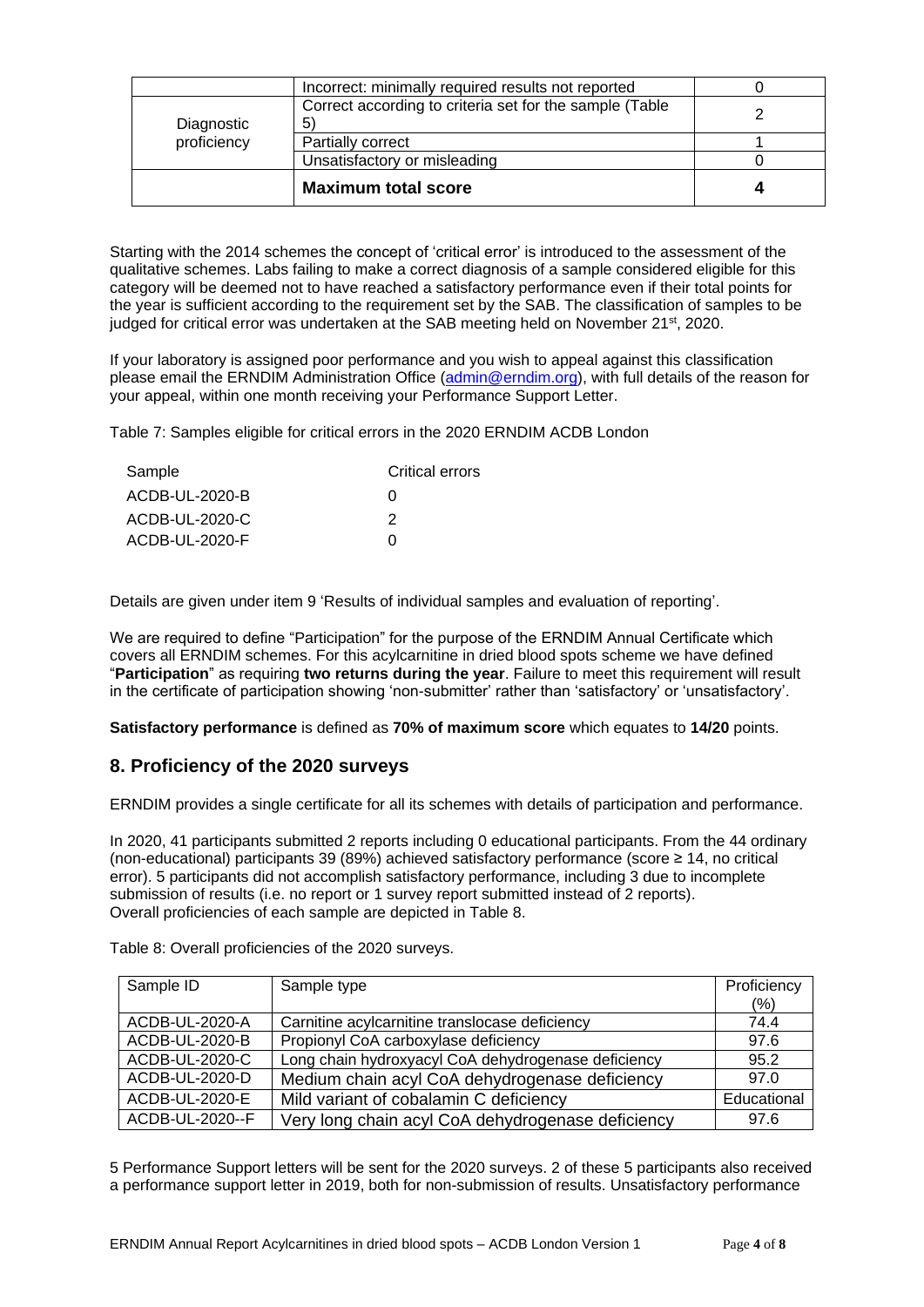|             | <b>Maximum total score</b>                              |   |  |
|-------------|---------------------------------------------------------|---|--|
|             | Unsatisfactory or misleading                            |   |  |
| proficiency | Partially correct                                       |   |  |
| Diagnostic  | 5                                                       |   |  |
|             | Correct according to criteria set for the sample (Table | ⌒ |  |
|             | Incorrect: minimally required results not reported      |   |  |

Starting with the 2014 schemes the concept of 'critical error' is introduced to the assessment of the qualitative schemes. Labs failing to make a correct diagnosis of a sample considered eligible for this category will be deemed not to have reached a satisfactory performance even if their total points for the year is sufficient according to the requirement set by the SAB. The classification of samples to be judged for critical error was undertaken at the SAB meeting held on November 21<sup>st</sup>, 2020.

If your laboratory is assigned poor performance and you wish to appeal against this classification please email the ERNDIM Administration Office [\(admin@erndim.org\)](mailto:admin@erndim.org), with full details of the reason for your appeal, within one month receiving your Performance Support Letter.

Table 7: Samples eligible for critical errors in the 2020 ERNDIM ACDB London

| <b>Critical errors</b> |
|------------------------|
| O                      |
| 2                      |
| O                      |
|                        |

Details are given under item 9 'Results of individual samples and evaluation of reporting'.

We are required to define "Participation" for the purpose of the ERNDIM Annual Certificate which covers all ERNDIM schemes. For this acylcarnitine in dried blood spots scheme we have defined "**Participation**" as requiring **two returns during the year**. Failure to meet this requirement will result in the certificate of participation showing 'non-submitter' rather than 'satisfactory' or 'unsatisfactory'.

**Satisfactory performance** is defined as **70% of maximum score** which equates to **14/20** points.

### **8. Proficiency of the 2020 surveys**

ERNDIM provides a single certificate for all its schemes with details of participation and performance.

In 2020, 41 participants submitted 2 reports including 0 educational participants. From the 44 ordinary (non-educational) participants 39 (89%) achieved satisfactory performance (score ≥ 14, no critical error). 5 participants did not accomplish satisfactory performance, including 3 due to incomplete submission of results (i.e. no report or 1 survey report submitted instead of 2 reports). Overall proficiencies of each sample are depicted in Table 8.

| Sample ID       | Sample type                                         | Proficiency |
|-----------------|-----------------------------------------------------|-------------|
|                 |                                                     | $(\% )$     |
| ACDB-UL-2020-A  | Carnitine acylcarnitine translocase deficiency      | 74.4        |
| ACDB-UL-2020-B  | Propionyl CoA carboxylase deficiency                | 97.6        |
| ACDB-UL-2020-C  | Long chain hydroxyacyl CoA dehydrogenase deficiency | 95.2        |
| ACDB-UL-2020-D  | Medium chain acyl CoA dehydrogenase deficiency      | 97.0        |
| ACDB-UL-2020-E  | Mild variant of cobalamin C deficiency              | Educational |
| ACDB-UL-2020--F | Very long chain acyl CoA dehydrogenase deficiency   | 97.6        |

Table 8: Overall proficiencies of the 2020 surveys.

5 Performance Support letters will be sent for the 2020 surveys. 2 of these 5 participants also received a performance support letter in 2019, both for non-submission of results. Unsatisfactory performance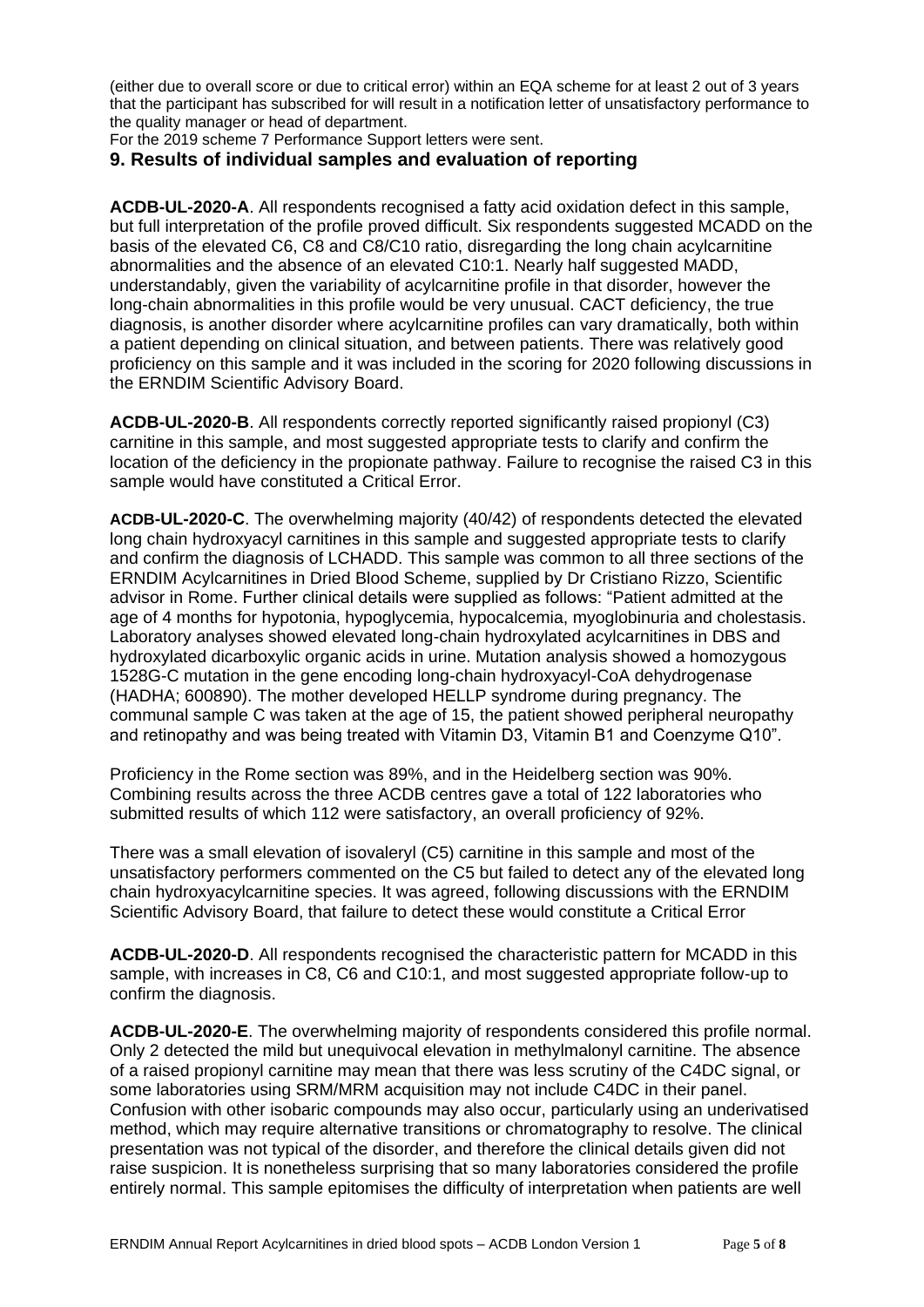(either due to overall score or due to critical error) within an EQA scheme for at least 2 out of 3 years that the participant has subscribed for will result in a notification letter of unsatisfactory performance to the quality manager or head of department.

For the 2019 scheme 7 Performance Support letters were sent.

#### **9. Results of individual samples and evaluation of reporting**

**ACDB-UL-2020-A**. All respondents recognised a fatty acid oxidation defect in this sample, but full interpretation of the profile proved difficult. Six respondents suggested MCADD on the basis of the elevated C6, C8 and C8/C10 ratio, disregarding the long chain acylcarnitine abnormalities and the absence of an elevated C10:1. Nearly half suggested MADD, understandably, given the variability of acylcarnitine profile in that disorder, however the long-chain abnormalities in this profile would be very unusual. CACT deficiency, the true diagnosis, is another disorder where acylcarnitine profiles can vary dramatically, both within a patient depending on clinical situation, and between patients. There was relatively good proficiency on this sample and it was included in the scoring for 2020 following discussions in the ERNDIM Scientific Advisory Board.

**ACDB-UL-2020-B**. All respondents correctly reported significantly raised propionyl (C3) carnitine in this sample, and most suggested appropriate tests to clarify and confirm the location of the deficiency in the propionate pathway. Failure to recognise the raised C3 in this sample would have constituted a Critical Error.

**ACDB-UL-2020-C**. The overwhelming majority (40/42) of respondents detected the elevated long chain hydroxyacyl carnitines in this sample and suggested appropriate tests to clarify and confirm the diagnosis of LCHADD. This sample was common to all three sections of the ERNDIM Acylcarnitines in Dried Blood Scheme, supplied by Dr Cristiano Rizzo, Scientific advisor in Rome. Further clinical details were supplied as follows: "Patient admitted at the age of 4 months for hypotonia, hypoglycemia, hypocalcemia, myoglobinuria and cholestasis. Laboratory analyses showed elevated long-chain hydroxylated acylcarnitines in DBS and hydroxylated dicarboxylic organic acids in urine. Mutation analysis showed a homozygous 1528G-C mutation in the gene encoding long-chain hydroxyacyl-CoA dehydrogenase (HADHA; 600890). The mother developed HELLP syndrome during pregnancy. The communal sample C was taken at the age of 15, the patient showed peripheral neuropathy and retinopathy and was being treated with Vitamin D3, Vitamin B1 and Coenzyme Q10".

Proficiency in the Rome section was 89%, and in the Heidelberg section was 90%. Combining results across the three ACDB centres gave a total of 122 laboratories who submitted results of which 112 were satisfactory, an overall proficiency of 92%.

There was a small elevation of isovaleryl (C5) carnitine in this sample and most of the unsatisfactory performers commented on the C5 but failed to detect any of the elevated long chain hydroxyacylcarnitine species. It was agreed, following discussions with the ERNDIM Scientific Advisory Board, that failure to detect these would constitute a Critical Error

**ACDB-UL-2020-D**. All respondents recognised the characteristic pattern for MCADD in this sample, with increases in C8, C6 and C10:1, and most suggested appropriate follow-up to confirm the diagnosis.

**ACDB-UL-2020-E**. The overwhelming majority of respondents considered this profile normal. Only 2 detected the mild but unequivocal elevation in methylmalonyl carnitine. The absence of a raised propionyl carnitine may mean that there was less scrutiny of the C4DC signal, or some laboratories using SRM/MRM acquisition may not include C4DC in their panel. Confusion with other isobaric compounds may also occur, particularly using an underivatised method, which may require alternative transitions or chromatography to resolve. The clinical presentation was not typical of the disorder, and therefore the clinical details given did not raise suspicion. It is nonetheless surprising that so many laboratories considered the profile entirely normal. This sample epitomises the difficulty of interpretation when patients are well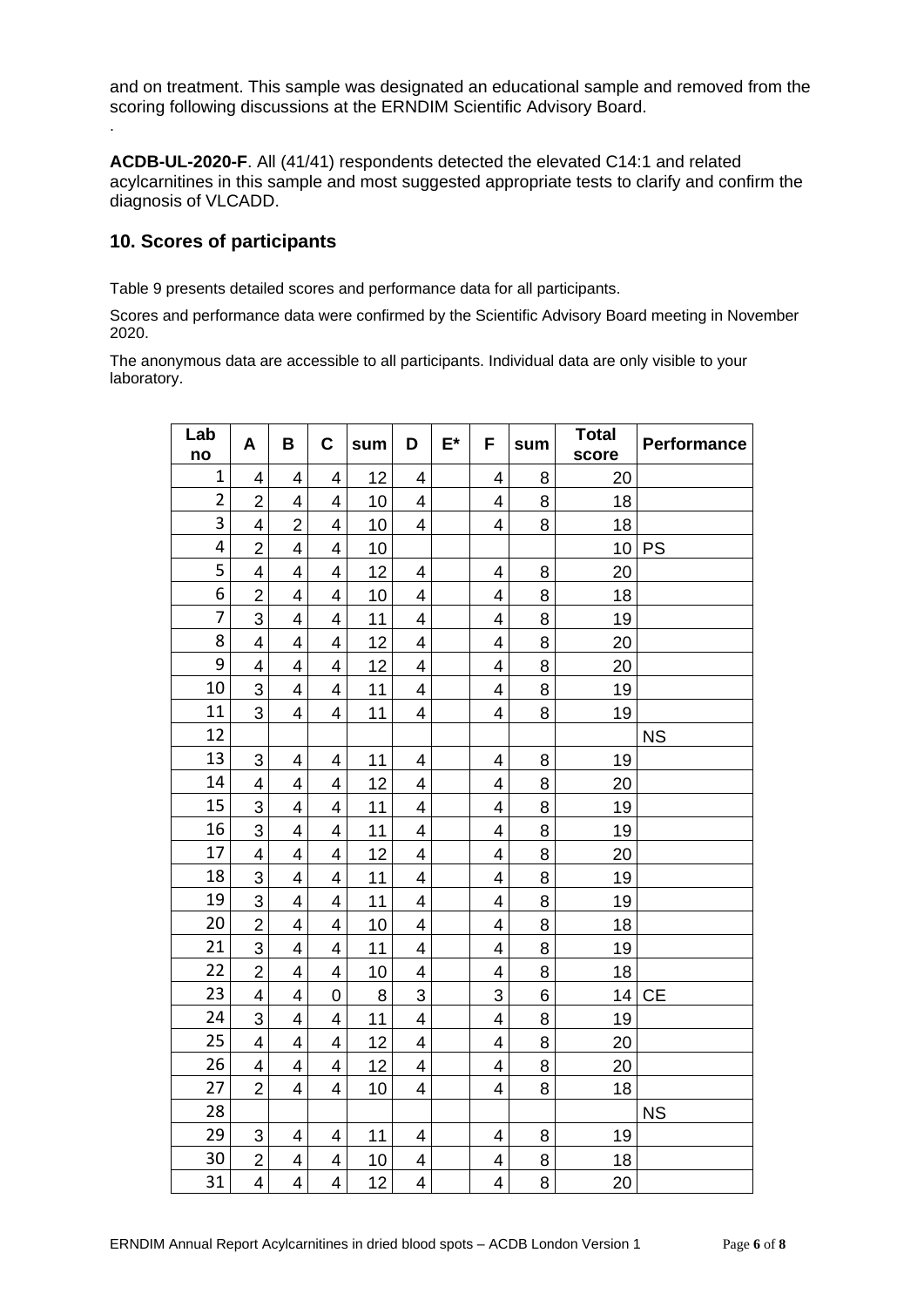and on treatment. This sample was designated an educational sample and removed from the scoring following discussions at the ERNDIM Scientific Advisory Board.

**ACDB-UL-2020-F**. All (41/41) respondents detected the elevated C14:1 and related acylcarnitines in this sample and most suggested appropriate tests to clarify and confirm the diagnosis of VLCADD.

#### **10. Scores of participants**

.

Table 9 presents detailed scores and performance data for all participants.

Scores and performance data were confirmed by the Scientific Advisory Board meeting in November 2020.

The anonymous data are accessible to all participants. Individual data are only visible to your laboratory.

| Lab<br>no      | A                       | В                       | $\mathbf C$              | sum | D                       | $E^*$ | F              | sum | <b>Total</b><br>score | Performance |
|----------------|-------------------------|-------------------------|--------------------------|-----|-------------------------|-------|----------------|-----|-----------------------|-------------|
| $\mathbf 1$    | 4                       | 4                       | 4                        | 12  | 4                       |       | 4              | 8   | 20                    |             |
| $\overline{2}$ | $\overline{2}$          | 4                       | 4                        | 10  | 4                       |       | 4              | 8   | 18                    |             |
| 3              | $\overline{4}$          | $\overline{2}$          | $\overline{4}$           | 10  | 4                       |       | 4              | 8   | 18                    |             |
| 4              | $\overline{2}$          | 4                       | 4                        | 10  |                         |       |                |     | 10                    | <b>PS</b>   |
| 5              | $\overline{4}$          | $\overline{4}$          | $\overline{4}$           | 12  | 4                       |       | 4              | 8   | 20                    |             |
| 6              | $\overline{2}$          | $\overline{4}$          | 4                        | 10  | 4                       |       | $\overline{4}$ | 8   | 18                    |             |
| 7              | 3                       | 4                       | $\overline{\mathbf{4}}$  | 11  | 4                       |       | 4              | 8   | 19                    |             |
| 8              | $\overline{\mathbf{4}}$ | 4                       | $\overline{\mathcal{A}}$ | 12  | 4                       |       | 4              | 8   | 20                    |             |
| 9              | $\overline{4}$          | $\overline{\mathbf{4}}$ | $\overline{4}$           | 12  | 4                       |       | $\overline{4}$ | 8   | 20                    |             |
| 10             | 3                       | $\overline{4}$          | 4                        | 11  | 4                       |       | 4              | 8   | 19                    |             |
| 11             | 3                       | 4                       | $\overline{4}$           | 11  | 4                       |       | 4              | 8   | 19                    |             |
| 12             |                         |                         |                          |     |                         |       |                |     |                       | <b>NS</b>   |
| 13             | 3                       | $\overline{4}$          | 4                        | 11  | 4                       |       | 4              | 8   | 19                    |             |
| 14             | $\overline{4}$          | $\overline{\mathbf{4}}$ | $\overline{\mathbf{4}}$  | 12  | $\overline{4}$          |       | 4              | 8   | 20                    |             |
| 15             | 3                       | 4                       | $\overline{\mathbf{4}}$  | 11  | 4                       |       | 4              | 8   | 19                    |             |
| 16             | 3                       | $\overline{\mathbf{4}}$ | $\overline{4}$           | 11  | 4                       |       | 4              | 8   | 19                    |             |
| 17             | $\overline{4}$          | 4                       | 4                        | 12  | 4                       |       | 4              | 8   | 20                    |             |
| 18             | 3                       | $\overline{4}$          | $\overline{4}$           | 11  | 4                       |       | 4              | 8   | 19                    |             |
| 19             | 3                       | 4                       | 4                        | 11  | 4                       |       | $\overline{4}$ | 8   | 19                    |             |
| 20             | $\overline{2}$          | $\overline{4}$          | $\overline{4}$           | 10  | 4                       |       | 4              | 8   | 18                    |             |
| 21             | 3                       | 4                       | 4                        | 11  | 4                       |       | 4              | 8   | 19                    |             |
| 22             | $\overline{2}$          | $\overline{\mathbf{4}}$ | $\overline{\mathbf{4}}$  | 10  | $\overline{\mathbf{4}}$ |       | 4              | 8   | 18                    |             |
| 23             | 4                       | 4                       | $\mathbf 0$              | 8   | 3                       |       | 3              | 6   | 14                    | <b>CE</b>   |
| 24             | 3                       | $\overline{\mathbf{4}}$ | $\overline{4}$           | 11  | 4                       |       | $\overline{4}$ | 8   | 19                    |             |
| 25             | $\overline{4}$          | $\overline{4}$          | 4                        | 12  | 4                       |       | $\overline{4}$ | 8   | 20                    |             |
| 26             | $\overline{4}$          | $\overline{4}$          | $\overline{4}$           | 12  | 4                       |       | 4              | 8   | 20                    |             |
| 27             | $\overline{2}$          | $\overline{4}$          | $\overline{4}$           | 10  | 4                       |       | 4              | 8   | 18                    |             |
| 28             |                         |                         |                          |     |                         |       |                |     |                       | <b>NS</b>   |
| 29             | 3                       | 4                       | 4                        | 11  | 4                       |       | 4              | 8   | 19                    |             |
| 30             | $\overline{2}$          | 4                       | 4                        | 10  | 4                       |       | 4              | 8   | 18                    |             |
| 31             | 4                       | $\overline{\mathbf{4}}$ | $\overline{\mathbf{4}}$  | 12  | 4                       |       | 4              | 8   | 20                    |             |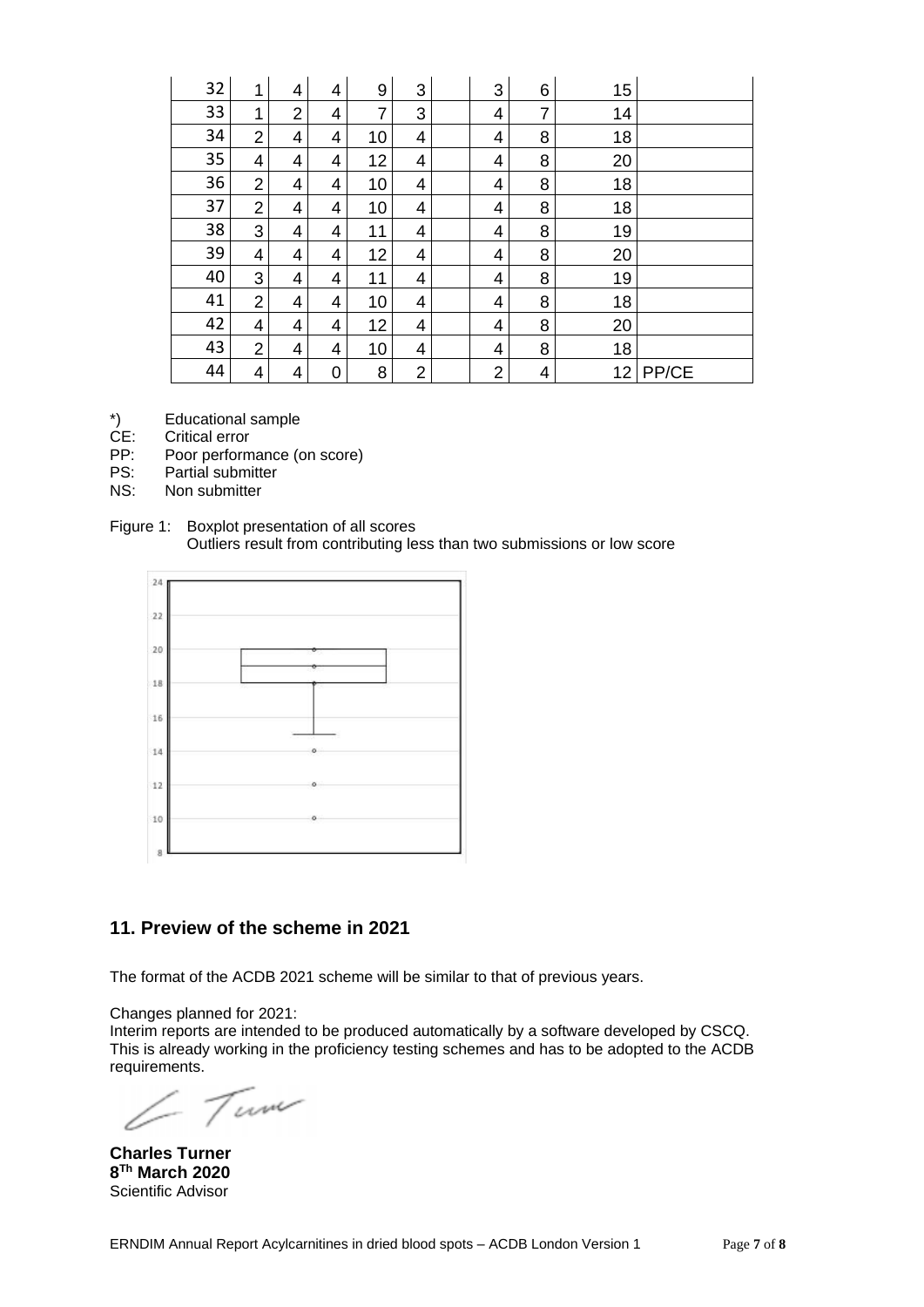| 32 | 1              | 4              | 4 | 9  | 3              | 3              | 6 | 15 |       |
|----|----------------|----------------|---|----|----------------|----------------|---|----|-------|
| 33 | 1              | $\overline{2}$ | 4 | 7  | 3              | 4              | 7 | 14 |       |
| 34 | $\overline{2}$ | 4              | 4 | 10 | 4              | 4              | 8 | 18 |       |
| 35 | 4              | 4              | 4 | 12 | 4              | 4              | 8 | 20 |       |
| 36 | $\overline{2}$ | 4              | 4 | 10 | 4              | 4              | 8 | 18 |       |
| 37 | $\overline{2}$ | 4              | 4 | 10 | 4              | 4              | 8 | 18 |       |
| 38 | 3              | 4              | 4 | 11 | 4              | 4              | 8 | 19 |       |
| 39 | 4              | 4              | 4 | 12 | 4              | 4              | 8 | 20 |       |
| 40 | 3              | 4              | 4 | 11 | 4              | 4              | 8 | 19 |       |
| 41 | $\overline{2}$ | 4              | 4 | 10 | 4              | 4              | 8 | 18 |       |
| 42 | 4              | 4              | 4 | 12 | 4              | 4              | 8 | 20 |       |
| 43 | $\overline{2}$ | 4              | 4 | 10 | 4              | 4              | 8 | 18 |       |
| 44 | 4              | 4              | 0 | 8  | $\overline{2}$ | $\overline{2}$ | 4 | 12 | PP/CE |

- \*) Educational sample<br>CE: Critical error
- CE: Critical error<br>PP: Poor perform
- PP: Poor performance (on score)<br>PS: Partial submitter
- PS: Partial submitter<br>NS: Non submitter
- Non submitter
- Figure 1: Boxplot presentation of all scores Outliers result from contributing less than two submissions or low score



#### **11. Preview of the scheme in 2021**

The format of the ACDB 2021 scheme will be similar to that of previous years.

Changes planned for 2021:

Interim reports are intended to be produced automatically by a software developed by CSCQ. This is already working in the proficiency testing schemes and has to be adopted to the ACDB requirements.

Tum

**Charles Turner 8 Th March 2020** Scientific Advisor